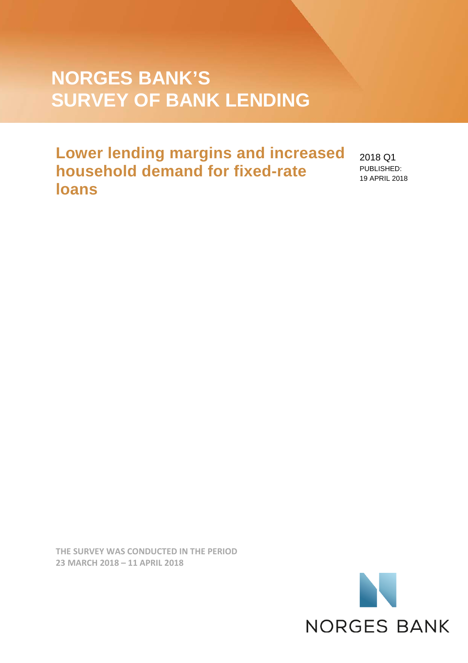# **NORGES BANK'S SURVEY OF BANK LENDING**

## **Lower lending margins and increased household demand for fixed-rate loans**

2018 Q1 PUBLISHED: 19 APRIL 2018

**THE SURVEY WAS CONDUCTED IN THE PERIOD 23 MARCH 2018 – 11 APRIL 2018**

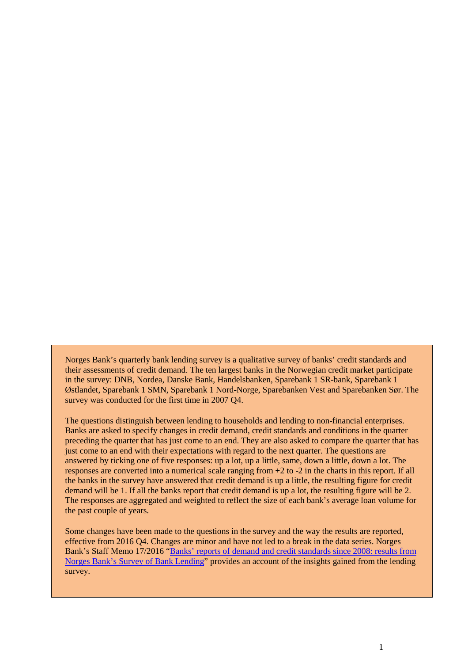Norges Bank's quarterly bank lending survey is a qualitative survey of banks' credit standards and their assessments of credit demand. The ten largest banks in the Norwegian credit market participate in the survey: DNB, Nordea, Danske Bank, Handelsbanken, Sparebank 1 SR-bank, Sparebank 1 Østlandet, Sparebank 1 SMN, Sparebank 1 Nord-Norge, Sparebanken Vest and Sparebanken Sør. The survey was conducted for the first time in 2007 Q4.

The questions distinguish between lending to households and lending to non-financial enterprises. Banks are asked to specify changes in credit demand, credit standards and conditions in the quarter preceding the quarter that has just come to an end. They are also asked to compare the quarter that has just come to an end with their expectations with regard to the next quarter. The questions are answered by ticking one of five responses: up a lot, up a little, same, down a little, down a lot. The responses are converted into a numerical scale ranging from +2 to -2 in the charts in this report. If all the banks in the survey have answered that credit demand is up a little, the resulting figure for credit demand will be 1. If all the banks report that credit demand is up a lot, the resulting figure will be 2. The responses are aggregated and weighted to reflect the size of each bank's average loan volume for the past couple of years.

Some changes have been made to the questions in the survey and the way the results are reported, effective from 2016 Q4. Changes are minor and have not led to a break in the data series. Norges Bank's Staff Memo 17/2016 "Banks' [reports of demand and credit standards since 2008: results from](http://www.norges-bank.no/en/Published/Papers/Staff-Memo/2016/Staff-Memo-172016/)  [Norges Bank's Survey of Bank Lending"](http://www.norges-bank.no/en/Published/Papers/Staff-Memo/2016/Staff-Memo-172016/) provides an account of the insights gained from the lending survey.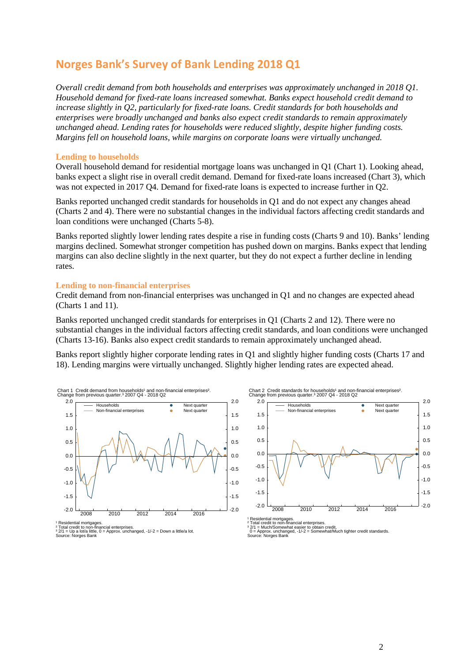## **Norges Bank's Survey of Bank Lending 2018 Q1**

*Overall credit demand from both households and enterprises was approximately unchanged in 2018 Q1. Household demand for fixed-rate loans increased somewhat. Banks expect household credit demand to increase slightly in Q2, particularly for fixed-rate loans. Credit standards for both households and enterprises were broadly unchanged and banks also expect credit standards to remain approximately unchanged ahead. Lending rates for households were reduced slightly, despite higher funding costs. Margins fell on household loans, while margins on corporate loans were virtually unchanged.*

### **Lending to households**

Overall household demand for residential mortgage loans was unchanged in Q1 (Chart 1). Looking ahead, banks expect a slight rise in overall credit demand. Demand for fixed-rate loans increased (Chart 3), which was not expected in 2017 Q4. Demand for fixed-rate loans is expected to increase further in Q2.

Banks reported unchanged credit standards for households in Q1 and do not expect any changes ahead (Charts 2 and 4). There were no substantial changes in the individual factors affecting credit standards and loan conditions were unchanged (Charts 5-8).

Banks reported slightly lower lending rates despite a rise in funding costs (Charts 9 and 10). Banks' lending margins declined. Somewhat stronger competition has pushed down on margins. Banks expect that lending margins can also decline slightly in the next quarter, but they do not expect a further decline in lending rates.

#### **Lending to non-financial enterprises**

Credit demand from non-financial enterprises was unchanged in Q1 and no changes are expected ahead (Charts 1 and 11).

Banks reported unchanged credit standards for enterprises in Q1 (Charts 2 and 12). There were no substantial changes in the individual factors affecting credit standards, and loan conditions were unchanged (Charts 13-16). Banks also expect credit standards to remain approximately unchanged ahead.

Banks report slightly higher corporate lending rates in Q1 and slightly higher funding costs (Charts 17 and 18). Lending margins were virtually unchanged. Slightly higher lending rates are expected ahead.



† Residential mortgages.<br><sup>2</sup> Total credit to non-financial enterprises.<br>ª 2/1 = Up a lot/a little, 0 = Approx. unchanged, -1/-2 = Down a little/a lot.<br>Source: Norges Bank





<sup>1</sup> Residential mortgages.<br><del>º</del> Total credit to non-financial enterprises.

<sup>s</sup> 2/1 = Much/Somewhat easier to obtain credit,<br> 0 = Approx. unchanged, -1/-2 = Somewhat/Much tighter credit standards.<br>Source: Norges Bank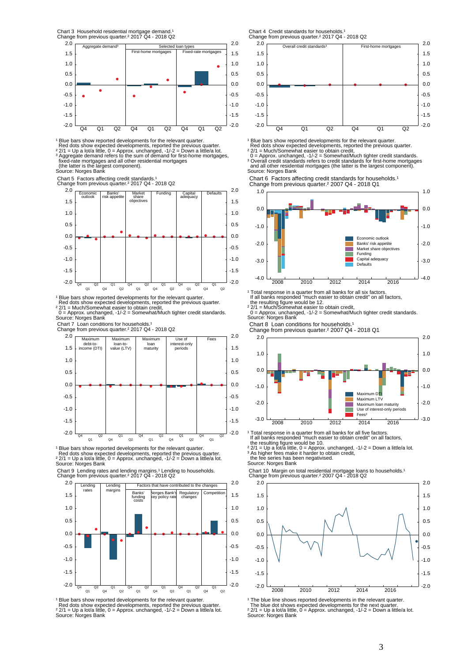



' Blue bars show reported developments for the relevant quarter.<br>↑ Red dots show expected developments, reported the previous quarter.<br>? 2/1 = Up a lot/a little, 0 = Approx. unchanged, -1/-2 = Down a little/a lot.

³ Aggregate demand refers to the sum of demand for first-home mortgages, fixed-rate mortgages and all other residential mortgages (the latter is the largest component).

Source: Norges Bank

Chart 5 Factors affecting credit standards.'<br>Change from previous quarter.º 2017 Q4 - 2018 Q2



<sup>1</sup> Blue bars show reported developments for the relevant quarter.

Red dots show expected developments, reported the previous quarter. ² 2/1 = Much/Somewhat easier to obtain credit,

0 = Approx. unchanged, -1/-2 = Somewhat/Much tighter credit standards. Source: Norges Bank

Chart 7 Loan conditions for households.<sup>1</sup><br>Change from previous quarter.<sup>2</sup> 2017 Q4 - 2018 Q2



' Blue bars show reported developments for the relevant quarter.<br>▪Red dots show expected developments, reported the previous quarter.<br>? 2/1 = Up a lot/a little, 0 = Approx. unchanged, -1/-2 = Down a little/a lot. Source: Norges Bank

Chart 9 Lending rates and lending margins.1 Lending to households.<br>Change from previous quarter.º 2017 Q4 - 2018 Q2



<sup>1</sup> Blue bars show reported developments for the relevant quarter.<br>「Red dots show expected developments, reported the previous quarter.<br><sup>2</sup> 2/1 = Up a lot/a little, 0 = Approx. unchanged, -1/-2 = Down a little/a lot.<br>Sourc

Chart 4 Credit standards for households.'<br>Change from previous quarter.º 2017 Q4 - 2018 Q2



<sup>1</sup> Blue bars show reported developments for the relevant quarter.<br>
Ped dots show expected developments, reported the previous quarter.<br>  $PZ/1 = \text{Much/Somewhat east}$  is considered the previous quarter.<br>  $2/1 = \text{Much/Somewhat east}$  of  $C = 2$ 

Source: Norges Bank Chart 6 Factors affecting credit standards for households.<sup>1</sup> Change from previous quarter.² 2007 Q4 - 2018 Q1



Total response in a quarter from all banks for all six factors.

If all banks responded "much easier to obtain credit" on all factors,<br>the resulting figure would be 12.<br><sup>2</sup> 2/1 = Much/Somewhat easier to obtain credit,<br>0 = Approx. unchanged, -1/-2 = Somewhat/Much tighter credit standards

Chart 8 Loan conditions for households.<sup>1</sup>





<sup>1</sup> Total response in a quarter from all banks for all five factors.<br>If all banks responded "much easier to obtain credit" on all factors,<br>the resulting figure would be 10.<br> $\frac{22}{1}$  = Up a lot/a little, 0 = Approx. unch

Source: Norges Bank

Chart 10 Margin on total residential mortgage loans to households.1<br>Change from previous quarter.<sup>2</sup> 2007 Q4 - 2018 Q2



<sup>1</sup> The blue line shows reported developments in the relevant quarter.<br>The blue dot shows expected developments for the next quarter.<br><sup>2</sup> 2/1 = Up a lot/a little, 0 = Approx. unchanged, -1/-2 = Down a little/a lot.<br>Source: